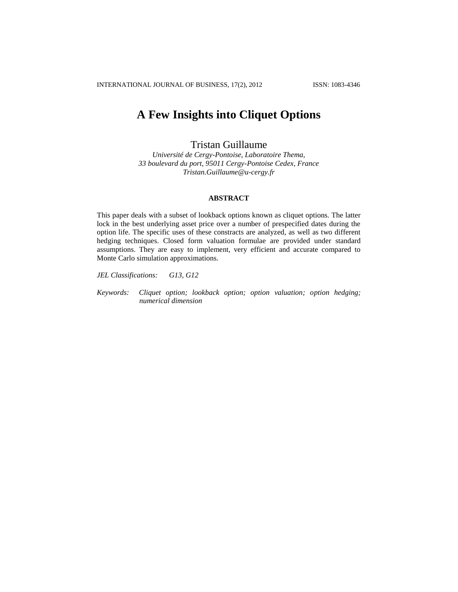# **A Few Insights into Cliquet Options**

Tristan Guillaume

*Université de Cergy-Pontoise, Laboratoire Thema, 33 boulevard du port, 95011 Cergy-Pontoise Cedex, France Tristan.Guillaume@u-cergy.fr*

### **ABSTRACT**

This paper deals with a subset of lookback options known as cliquet options. The latter lock in the best underlying asset price over a number of prespecified dates during the option life. The specific uses of these constracts are analyzed, as well as two different hedging techniques. Closed form valuation formulae are provided under standard assumptions. They are easy to implement, very efficient and accurate compared to Monte Carlo simulation approximations.

*JEL Classifications: G13, G12*

*Keywords: Cliquet option; lookback option; option valuation; option hedging; numerical dimension*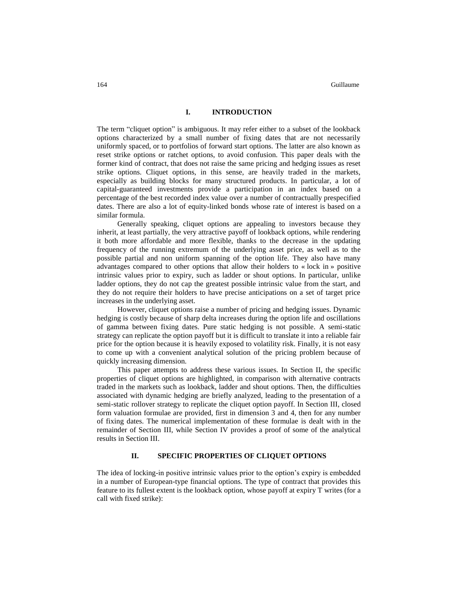#### **I. INTRODUCTION**

The term "cliquet option" is ambiguous. It may refer either to a subset of the lookback options characterized by a small number of fixing dates that are not necessarily uniformly spaced, or to portfolios of forward start options. The latter are also known as reset strike options or ratchet options, to avoid confusion. This paper deals with the former kind of contract, that does not raise the same pricing and hedging issues as reset strike options. Cliquet options, in this sense, are heavily traded in the markets, especially as building blocks for many structured products. In particular, a lot of capital-guaranteed investments provide a participation in an index based on a percentage of the best recorded index value over a number of contractually prespecified dates. There are also a lot of equity-linked bonds whose rate of interest is based on a similar formula.

Generally speaking, cliquet options are appealing to investors because they inherit, at least partially, the very attractive payoff of lookback options, while rendering it both more affordable and more flexible, thanks to the decrease in the updating frequency of the running extremum of the underlying asset price, as well as to the possible partial and non uniform spanning of the option life. They also have many advantages compared to other options that allow their holders to « lock in » positive intrinsic values prior to expiry, such as ladder or shout options. In particular, unlike ladder options, they do not cap the greatest possible intrinsic value from the start, and they do not require their holders to have precise anticipations on a set of target price increases in the underlying asset.

However, cliquet options raise a number of pricing and hedging issues. Dynamic hedging is costly because of sharp delta increases during the option life and oscillations of gamma between fixing dates. Pure static hedging is not possible. A semi-static strategy can replicate the option payoff but it is difficult to translate it into a reliable fair price for the option because it is heavily exposed to volatility risk. Finally, it is not easy to come up with a convenient analytical solution of the pricing problem because of quickly increasing dimension.

This paper attempts to address these various issues. In Section II, the specific properties of cliquet options are highlighted, in comparison with alternative contracts traded in the markets such as lookback, ladder and shout options. Then, the difficulties associated with dynamic hedging are briefly analyzed, leading to the presentation of a semi-static rollover strategy to replicate the cliquet option payoff. In Section III, closed form valuation formulae are provided, first in dimension 3 and 4, then for any number of fixing dates. The numerical implementation of these formulae is dealt with in the remainder of Section III, while Section IV provides a proof of some of the analytical results in Section III.

## **II. SPECIFIC PROPERTIES OF CLIQUET OPTIONS**

The idea of locking-in positive intrinsic values prior to the option's expiry is embedded in a number of European-type financial options. The type of contract that provides this feature to its fullest extent is the lookback option, whose payoff at expiry T writes (for a call with fixed strike):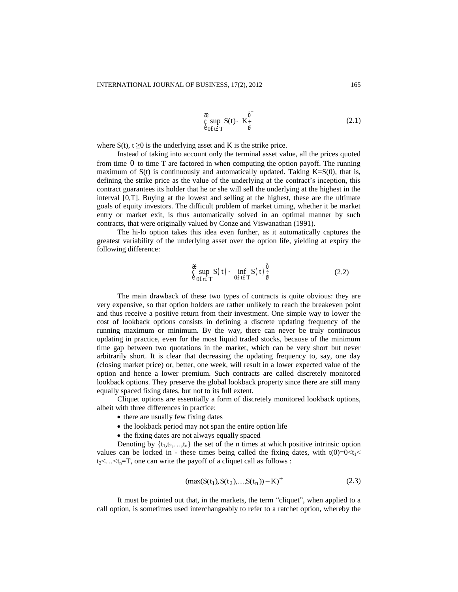$$
\underset{\text{e}}{\text{g}} \underset{\text{e}}{\text{sup}} \ \text{S(t)} - \underset{\text{g}}{\text{K}_{\div}^{\ddag}} \tag{2.1}
$$

where  $S(t)$ ,  $t \ge 0$  is the underlying asset and K is the strike price.

Instead of taking into account only the terminal asset value, all the prices quoted from time 0 to time T are factored in when computing the option payoff. The running maximum of  $S(t)$  is continuously and automatically updated. Taking  $K=S(0)$ , that is, defining the strike price as the value of the underlying at the contract's inception, this contract guarantees its holder that he or she will sell the underlying at the highest in the interval [0,T]. Buying at the lowest and selling at the highest, these are the ultimate goals of equity investors. The difficult problem of market timing, whether it be market entry or market exit, is thus automatically solved in an optimal manner by such contracts, that were originally valued by Conze and Viswanathan (1991).

The hi-lo option takes this idea even further, as it automatically captures the greatest variability of the underlying asset over the option life, yielding at expiry the following difference:

$$
\underset{\Theta \text{[G)}}{\overset{\text{2}}{\mathsf{g}}} \underset{\text{S(t)}}{\sup} S(t) - \underset{\Theta \text{[Gt]}}{\inf} S(t) \frac{\overset{\text{0}}{\mathsf{g}}}{\overset{\text{0}}{\mathsf{g}}} \tag{2.2}
$$

The main drawback of these two types of contracts is quite obvious: they are very expensive, so that option holders are rather unlikely to reach the breakeven point and thus receive a positive return from their investment. One simple way to lower the cost of lookback options consists in defining a discrete updating frequency of the running maximum or minimum. By the way, there can never be truly continuous updating in practice, even for the most liquid traded stocks, because of the minimum time gap between two quotations in the market, which can be very short but never arbitrarily short. It is clear that decreasing the updating frequency to, say, one day (closing market price) or, better, one week, will result in a lower expected value of the option and hence a lower premium. Such contracts are called discretely monitored lookback options. They preserve the global lookback property since there are still many equally spaced fixing dates, but not to its full extent.

Cliquet options are essentially a form of discretely monitored lookback options, albeit with three differences in practice:

- there are usually few fixing dates
- the lookback period may not span the entire option life
- the fixing dates are not always equally spaced

Denoting by  $\{t_1, t_2, \ldots, t_n\}$  the set of the n times at which positive intrinsic option values can be locked in - these times being called the fixing dates, with  $t(0)=0 < t_1 <$  $t_2$ <...  $\le t_n$ =T, one can write the payoff of a cliquet call as follows :

$$
(\max(S(t_1), S(t_2), \dots, S(t_n)) - K)^{+}
$$
\n(2.3)

It must be pointed out that, in the markets, the term "cliquet", when applied to a call option, is sometimes used interchangeably to refer to a ratchet option, whereby the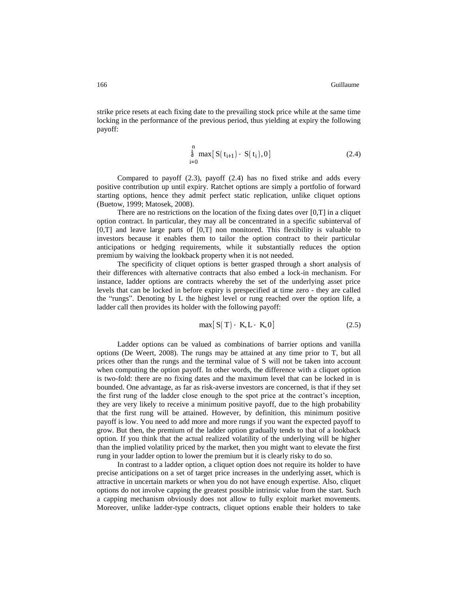strike price resets at each fixing date to the prevailing stock price while at the same time locking in the performance of the previous period, thus yielding at expiry the following payoff:

$$
\stackrel{n}{\hat{a}} \max [S(t_{i+1}) - S(t_i), 0]
$$
\n(2.4)

Compared to payoff (2.3), payoff (2.4) has no fixed strike and adds every positive contribution up until expiry. Ratchet options are simply a portfolio of forward starting options, hence they admit perfect static replication, unlike cliquet options (Buetow, 1999; Matosek, 2008).

There are no restrictions on the location of the fixing dates over  $[0, T]$  in a cliquet option contract. In particular, they may all be concentrated in a specific subinterval of  $[0,T]$  and leave large parts of  $[0,T]$  non monitored. This flexibility is valuable to investors because it enables them to tailor the option contract to their particular anticipations or hedging requirements, while it substantially reduces the option premium by waiving the lookback property when it is not needed.

The specificity of cliquet options is better grasped through a short analysis of their differences with alternative contracts that also embed a lock-in mechanism. For instance, ladder options are contracts whereby the set of the underlying asset price levels that can be locked in before expiry is prespecified at time zero - they are called the "rungs". Denoting by L the highest level or rung reached over the option life, a ladder call then provides its holder with the following payoff:

$$
\max[S(T) - K, L - K, 0]
$$
 (2.5)

Ladder options can be valued as combinations of barrier options and vanilla options (De Weert, 2008). The rungs may be attained at any time prior to T, but all prices other than the rungs and the terminal value of S will not be taken into account when computing the option payoff. In other words, the difference with a cliquet option is two-fold: there are no fixing dates and the maximum level that can be locked in is bounded. One advantage, as far as risk-averse investors are concerned, is that if they set the first rung of the ladder close enough to the spot price at the contract's inception, they are very likely to receive a minimum positive payoff, due to the high probability that the first rung will be attained. However, by definition, this minimum positive payoff is low. You need to add more and more rungs if you want the expected payoff to grow. But then, the premium of the ladder option gradually tends to that of a lookback option. If you think that the actual realized volatility of the underlying will be higher than the implied volatility priced by the market, then you might want to elevate the first rung in your ladder option to lower the premium but it is clearly risky to do so.

In contrast to a ladder option, a cliquet option does not require its holder to have precise anticipations on a set of target price increases in the underlying asset, which is attractive in uncertain markets or when you do not have enough expertise. Also, cliquet options do not involve capping the greatest possible intrinsic value from the start. Such a capping mechanism obviously does not allow to fully exploit market movements. Moreover, unlike ladder-type contracts, cliquet options enable their holders to take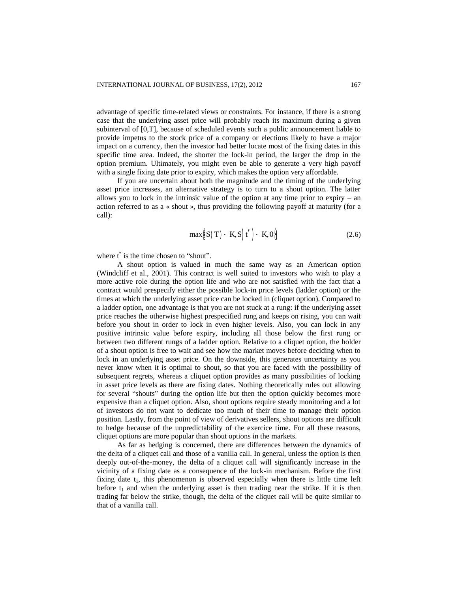advantage of specific time-related views or constraints. For instance, if there is a strong case that the underlying asset price will probably reach its maximum during a given subinterval of [0,T], because of scheduled events such a public announcement liable to provide impetus to the stock price of a company or elections likely to have a major impact on a currency, then the investor had better locate most of the fixing dates in this specific time area. Indeed, the shorter the lock-in period, the larger the drop in the option premium. Ultimately, you might even be able to generate a very high payoff with a single fixing date prior to expiry, which makes the option very affordable.

If you are uncertain about both the magnitude and the timing of the underlying asset price increases, an alternative strategy is to turn to a shout option. The latter allows you to lock in the intrinsic value of the option at any time prior to expiry – an action referred to as a « shout », thus providing the following payoff at maturity (for a call):

$$
\max_{\Theta} \mathcal{E}(\mathbf{S}(\mathbf{T}) - \mathbf{K}, \mathbf{S}(\mathbf{t}^*) - \mathbf{K}, \mathbf{0})
$$
 (2.6)

where  $t^*$  is the time chosen to "shout".

A shout option is valued in much the same way as an American option (Windcliff et al., 2001). This contract is well suited to investors who wish to play a more active role during the option life and who are not satisfied with the fact that a contract would prespecify either the possible lock-in price levels (ladder option) or the times at which the underlying asset price can be locked in (cliquet option). Compared to a ladder option, one advantage is that you are not stuck at a rung: if the underlying asset price reaches the otherwise highest prespecified rung and keeps on rising, you can wait before you shout in order to lock in even higher levels. Also, you can lock in any positive intrinsic value before expiry, including all those below the first rung or between two different rungs of a ladder option. Relative to a cliquet option, the holder of a shout option is free to wait and see how the market moves before deciding when to lock in an underlying asset price. On the downside, this generates uncertainty as you never know when it is optimal to shout, so that you are faced with the possibility of subsequent regrets, whereas a cliquet option provides as many possibilities of locking in asset price levels as there are fixing dates. Nothing theoretically rules out allowing for several "shouts" during the option life but then the option quickly becomes more expensive than a cliquet option. Also, shout options require steady monitoring and a lot of investors do not want to dedicate too much of their time to manage their option position. Lastly, from the point of view of derivatives sellers, shout options are difficult to hedge because of the unpredictability of the exercice time. For all these reasons, cliquet options are more popular than shout options in the markets.

As far as hedging is concerned, there are differences between the dynamics of the delta of a cliquet call and those of a vanilla call. In general, unless the option is then deeply out-of-the-money, the delta of a cliquet call will significantly increase in the vicinity of a fixing date as a consequence of the lock-in mechanism. Before the first fixing date  $t_1$ , this phenomenon is observed especially when there is little time left before  $t_1$  and when the underlying asset is then trading near the strike. If it is then trading far below the strike, though, the delta of the cliquet call will be quite similar to that of a vanilla call.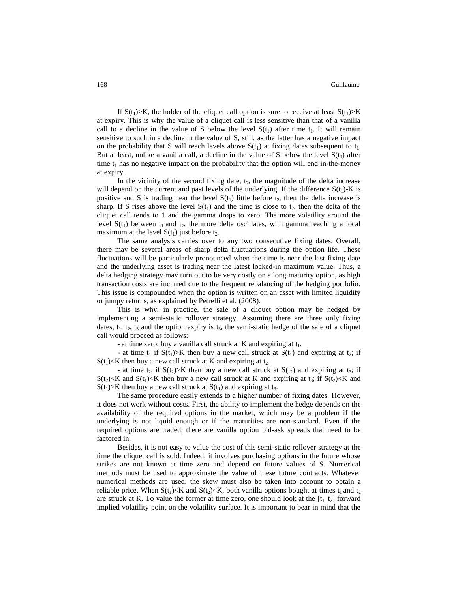If  $S(t_1) > K$ , the holder of the cliquet call option is sure to receive at least  $S(t_1) > K$ at expiry. This is why the value of a cliquet call is less sensitive than that of a vanilla call to a decline in the value of S below the level  $S(t_1)$  after time  $t_1$ . It will remain sensitive to such in a decline in the value of S, still, as the latter has a negative impact on the probability that S will reach levels above  $S(t_1)$  at fixing dates subsequent to  $t_1$ . But at least, unlike a vanilla call, a decline in the value of S below the level  $S(t_1)$  after time  $t_1$  has no negative impact on the probability that the option will end in-the-money at expiry.

In the vicinity of the second fixing date,  $t_2$ , the magnitude of the delta increase will depend on the current and past levels of the underlying. If the difference  $S(t_1)$ -K is positive and S is trading near the level  $S(t_1)$  little before  $t_2$ , then the delta increase is sharp. If S rises above the level  $S(t_1)$  and the time is close to t<sub>2</sub>, then the delta of the cliquet call tends to 1 and the gamma drops to zero. The more volatility around the level  $S(t_1)$  between  $t_1$  and  $t_2$ , the more delta oscillates, with gamma reaching a local maximum at the level  $S(t_1)$  just before  $t_2$ .

The same analysis carries over to any two consecutive fixing dates. Overall, there may be several areas of sharp delta fluctuations during the option life. These fluctuations will be particularly pronounced when the time is near the last fixing date and the underlying asset is trading near the latest locked-in maximum value. Thus, a delta hedging strategy may turn out to be very costly on a long maturity option, as high transaction costs are incurred due to the frequent rebalancing of the hedging portfolio. This issue is compounded when the option is written on an asset with limited liquidity or jumpy returns, as explained by Petrelli et al. (2008).

This is why, in practice, the sale of a cliquet option may be hedged by implementing a semi-static rollover strategy. Assuming there are three only fixing dates,  $t_1$ ,  $t_2$ ,  $t_3$  and the option expiry is  $t_3$ , the semi-static hedge of the sale of a cliquet call would proceed as follows:

- at time zero, buy a vanilla call struck at K and expiring at  $t_1$ .

- at time t<sub>1</sub> if  $S(t_1) > K$  then buy a new call struck at  $S(t_1)$  and expiring at t<sub>2</sub>; if  $S(t_1)$  K then buy a new call struck at K and expiring at  $t_2$ .

- at time t<sub>2</sub>, if  $S(t_2) > K$  then buy a new call struck at  $S(t_2)$  and expiring at t<sub>3</sub>; if  $S(t_2) < K$  and  $S(t_1) < K$  then buy a new call struck at K and expiring at  $t_3$ ; if  $S(t_2) < K$  and  $S(t_1)$ >K then buy a new call struck at  $S(t_1)$  and expiring at t<sub>3</sub>.

The same procedure easily extends to a higher number of fixing dates. However, it does not work without costs. First, the ability to implement the hedge depends on the availability of the required options in the market, which may be a problem if the underlying is not liquid enough or if the maturities are non-standard. Even if the required options are traded, there are vanilla option bid-ask spreads that need to be factored in.

Besides, it is not easy to value the cost of this semi-static rollover strategy at the time the cliquet call is sold. Indeed, it involves purchasing options in the future whose strikes are not known at time zero and depend on future values of S. Numerical methods must be used to approximate the value of these future contracts. Whatever numerical methods are used, the skew must also be taken into account to obtain a reliable price. When  $S(t_1) \le K$  and  $S(t_2) \le K$ , both vanilla options bought at times  $t_1$  and  $t_2$ are struck at K. To value the former at time zero, one should look at the  $[t_1, t_2]$  forward implied volatility point on the volatility surface. It is important to bear in mind that the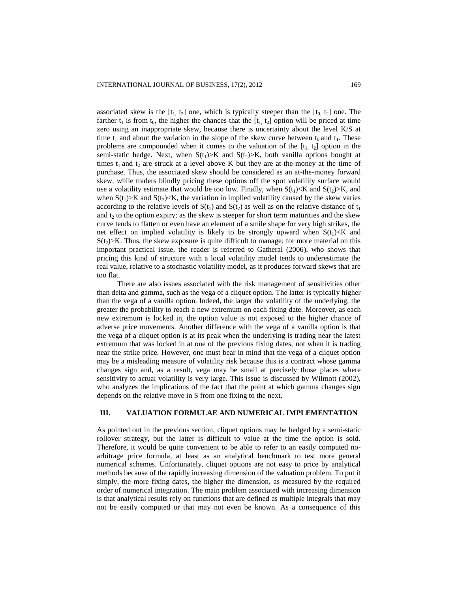associated skew is the  $[t_1, t_2]$  one, which is typically steeper than the  $[t_0, t_2]$  one. The farther  $t_1$  is from  $t_0$ , the higher the chances that the  $[t_1, t_2]$  option will be priced at time zero using an inappropriate skew, because there is uncertainty about the level K/S at time t<sub>1</sub> and about the variation in the slope of the skew curve between t<sub>0</sub> and t<sub>1</sub>. These problems are compounded when it comes to the valuation of the  $[t_1, t_2]$  option in the semi-static hedge. Next, when  $S(t_1) > K$  and  $S(t_2) > K$ , both vanilla options bought at times  $t_1$  and  $t_2$  are struck at a level above K but they are at-the-money at the time of purchase. Thus, the associated skew should be considered as an at-the-money forward skew, while traders blindly pricing these options off the spot volatility surface would use a volatility estimate that would be too low. Finally, when  $S(t_1) < K$  and  $S(t_2) > K$ , and when  $S(t_1)$  >K and  $S(t_2)$  < K, the variation in implied volatility caused by the skew varies according to the relative levels of  $S(t_1)$  and  $S(t_2)$  as well as on the relative distance of  $t_1$ and  $t_2$  to the option expiry; as the skew is steeper for short term maturities and the skew curve tends to flatten or even have an element of a smile shape for very high strikes, the net effect on implied volatility is likely to be strongly upward when  $S(t_1) < K$  and  $S(t_2)$ >K. Thus, the skew exposure is quite difficult to manage; for more material on this important practical issue, the reader is referred to Gatheral (2006), who shows that pricing this kind of structure with a local volatility model tends to underestimate the real value, relative to a stochastic volatility model, as it produces forward skews that are too flat.

There are also issues associated with the risk management of sensitivities other than delta and gamma, such as the vega of a cliquet option. The latter is typically higher than the vega of a vanilla option. Indeed, the larger the volatility of the underlying, the greater the probability to reach a new extremum on each fixing date. Moreover, as each new extremum is locked in, the option value is not exposed to the higher chance of adverse price movements. Another difference with the vega of a vanilla option is that the vega of a cliquet option is at its peak when the underlying is trading near the latest extremum that was locked in at one of the previous fixing dates, not when it is trading near the strike price. However, one must bear in mind that the vega of a cliquet option may be a misleading measure of volatility risk because this is a contract whose gamma changes sign and, as a result, vega may be small at precisely those places where sensitivity to actual volatility is very large. This issue is discussed by Wilmott (2002), who analyzes the implications of the fact that the point at which gamma changes sign depends on the relative move in S from one fixing to the next.

#### **III. VALUATION FORMULAE AND NUMERICAL IMPLEMENTATION**

As pointed out in the previous section, cliquet options may be hedged by a semi-static rollover strategy, but the latter is difficult to value at the time the option is sold. Therefore, it would be quite convenient to be able to refer to an easily computed noarbitrage price formula, at least as an analytical benchmark to test more general numerical schemes. Unfortunately, cliquet options are not easy to price by analytical methods because of the rapidly increasing dimension of the valuation problem. To put it simply, the more fixing dates, the higher the dimension, as measured by the required order of numerical integration. The main problem associated with increasing dimension is that analytical results rely on functions that are defined as multiple integrals that may not be easily computed or that may not even be known. As a consequence of this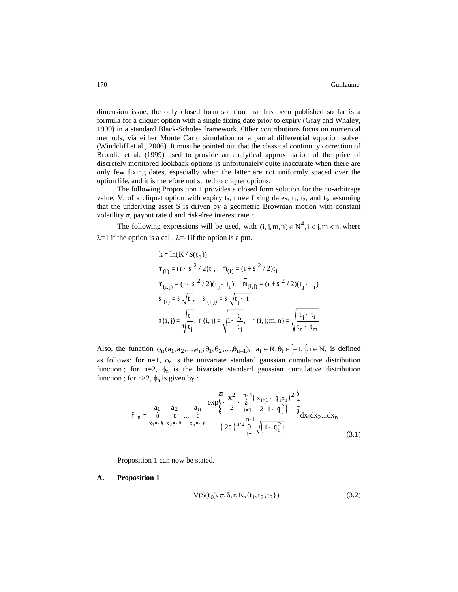dimension issue, the only closed form solution that has been published so far is a formula for a cliquet option with a single fixing date prior to expiry (Gray and Whaley, 1999) in a standard Black-Scholes framework. Other contributions focus on numerical methods, via either Monte Carlo simulation or a partial differential equation solver (Windcliff et al., 2006). It must be pointed out that the classical continuity correction of Broadie et al. (1999) used to provide an analytical approximation of the price of discretely monitored lookback options is unfortunately quite inaccurate when there are only few fixing dates, especially when the latter are not uniformly spaced over the option life, and it is therefore not suited to cliquet options.

The following Proposition 1 provides a closed form solution for the no-arbitrage value, V, of a cliquet option with expiry  $t_3$ , three fixing dates,  $t_1$ ,  $t_2$ , and  $t_3$ , assuming that the underlying asset S is driven by a geometric Brownian motion with constant volatility σ, payout rate d and risk-free interest rate r.

The following expressions will be used, with  $(i, j, m, n) \in N^4, i < j, m < n$ , where  $\lambda=1$  if the option is a call,  $\lambda=-1$  if the option is a put.

k = ln(K/S(t<sub>0</sub>))  
\nm<sub>(i)</sub> = (r - S<sup>2</sup>/2)t<sub>i</sub>, m<sub>(i)</sub> = (r + S<sup>2</sup>/2)t<sub>i</sub>  
\nm<sub>(i,j)</sub> = (r - S<sup>2</sup>/2)(t<sub>j</sub> - t<sub>i</sub>), m<sub>(i,j)</sub> = (r + S<sup>2</sup>/2)(t<sub>j</sub> - t<sub>i</sub>)  
\nS<sub>(i)</sub> = S
$$
\sqrt{t_i}
$$
, S<sub>(i,j)</sub> = S $\sqrt{t_j - t_i}$   
\nb(i, j) =  $\sqrt{\frac{t_i}{t_j}}$ , r(i, j) =  $\sqrt{1 - \frac{t_i}{t_j}}$ , r(i, j; m, n) =  $\sqrt{\frac{t_j - t_i}{t_n - t_m}}$ 

Also, the function  $\phi_n(a_1, a_2, \dots, a_n; \theta_1, \theta_2, \dots, \theta_{n-1}), a_i \in \mathbb{R}, \theta_i \in [-1, 1], i \in \mathbb{N}$ , is defined as follows: for n=1,  $\phi_n$  is the univariate standard gaussian cumulative distribution function ; for n=2,  $\phi_n$  is the bivariate standard gaussian cumulative distribution function ; for  $n>2$ ,  $\phi_n$  is given by :

$$
F_n = \begin{array}{c} a_1 & a_2 & a_n \end{array} \xrightarrow{\begin{array}{c} a_n \end{array}} \frac{\exp_{\zeta}^{\hat{\zeta}} - \frac{x_1^2}{2} - \frac{n-1}{\hat{\zeta}} \frac{(x_{i+1} - q_i x_i)^2}{2 \left(1 - q_i^2\right)} \frac{\hat{\zeta}}{\hat{\zeta}}} {x_1 z_1 + x_2 z_2 - x_1 z_3} \begin{array}{c} a_n \end{array} \xrightarrow{\hat{\zeta}} \frac{\exp_{\zeta}^{\hat{\zeta}} - \frac{x_1^2}{2} - \frac{n-1}{\hat{\zeta}} \frac{(x_{i+1} - q_i x_i)^2}{2 \left(1 - q_i^2\right)} \frac{\hat{\zeta}}{\hat{\zeta}}} d x_1 dx_2...dx_n
$$
\n
$$
(3.1)
$$

Proposition 1 can now be stated.

### **A. Proposition 1**

$$
V(S(t_0), \sigma, \delta, r, K, \{t_1, t_2, t_3\})
$$
\n
$$
(3.2)
$$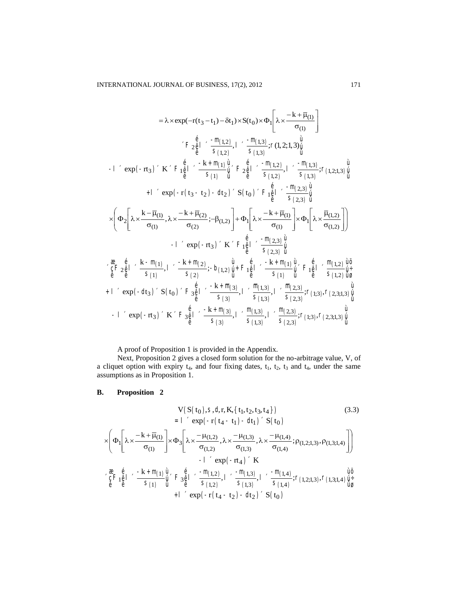$$
= \lambda \times \exp(-r(t_3 - t_1) - \delta t_1) \times S(t_0) \times \Phi_1 \left[ \lambda \times \frac{-k + \overline{\mu}_{(1)}}{\sigma_{(1)}} \right]
$$
\n
$$
+ \left[ \sum_{\hat{\theta}} \frac{e^{i\theta}}{s} \right] \times \frac{-m(t_3)}{s} \cdot \frac{1}{s} \cdot (1, 2; 1, 3) \frac{d}{dt}
$$
\n
$$
+ \left[ \sum_{\hat{\theta}} \frac{e^{i\theta}}{s} \right] \times \frac{-m(t_3)}{s} \cdot \frac{1}{s} \cdot (1, 2; 1, 3) \frac{d}{dt}
$$
\n
$$
+ \left[ \sum_{\hat{\theta}} \frac{e^{i\theta}}{s} \right] \times \frac{-m(t_3)}{s} \cdot \frac{1}{s} \cdot \frac{1}{s} \cdot \frac{m(t_3)}{s} \cdot (1, 2; 1, 3) \frac{d}{dt}
$$
\n
$$
+ \left[ \sum_{\hat{\theta}} \exp(-r(t_3 - t_2) - dt_2) \right] \times S(t_0) \times F_1 \frac{d}{dt} \times \frac{-m(t_3)}{s} \cdot \frac{1}{s} \cdot (1, 2; 1, 3) \frac{d}{dt}
$$
\n
$$
\times \left( \Phi_2 \left[ \lambda \times \frac{k - \overline{\mu}_{(1)}}{\sigma_{(1)}} \cdot \lambda \times \frac{-k + \overline{\mu}_{(2)}}{\sigma_{(2)}} \cdot \frac{-\beta_{(1, 2)}}{\sigma_{(1, 2)}} \right] + \Phi_1 \left[ \lambda \times \frac{-k + \overline{\mu}_{(1)}}{\sigma_{(1)}} \right] \times \Phi_1 \left[ \lambda \times \frac{\overline{\mu}_{(1, 2)}}{\sigma_{(1, 2)}} \right] \right]
$$
\n
$$
- \left[ \sum_{\hat{\theta}} \exp(-rt_3) \right] \times K \times F_1 \frac{d}{dt} \left[ \sum_{\hat{\theta}} \frac{-m(t_3)}{s} \cdot \frac{1}{\sigma_{(1)}} \frac{d}{dt} \cdot \frac{1}{s} \cdot \frac{m(t_3)}{\sigma_{(1)}} \frac{1}{\sigma_{(1)}} \right]
$$
\n
$$
+ \left[ \sum_{\hat{\theta}} \frac{e^{i\theta}}{
$$

A proof of Proposition 1 is provided in the Appendix.

Next, Proposition 2 gives a closed form solution for the no-arbitrage value, V, of a cliquet option with expiry  $t_4$ , and four fixing dates,  $t_1$ ,  $t_2$ ,  $t_3$  and  $t_4$ , under the same assumptions as in Proposition 1.

#### **B.** Proposition 2

$$
V(S(t_0), S, d, r, K, {t_1, t_2, t_3, t_4})
$$
  
=  $\int \exp(-r(t_4 - t_1) - dt_1) S(t_0)$  (3.3)

$$
\times \left(\Phi_{1}\left[\lambda \times \frac{-k+\overline{\mu}_{(1)}}{\sigma_{(1)}}\right] \times \Phi_{3}\left[\lambda \times \frac{-\mu_{(1,2)}}{\sigma_{(1,2)}},\lambda \times \frac{-\mu_{(1,3)}}{\sigma_{(1,3)}},\lambda \times \frac{-\mu_{(1,4)}}{\sigma_{(1,4)}}; \rho_{(1,2;1,3)},\rho_{(1,3;1,4)}\right]\right) \\ -1 \quad \text{exp}\left(-r t_{4}\right) \quad K \\ \times \frac{\mathcal{R}}{\hat{c}} F_{1\hat{\theta}}\left[\lambda \leftarrow \frac{-k+m_{(1)}}{S_{(1)}}\hat{\mu}\right] \left(\bar{F}_{3\hat{\theta}}\right] \left(\lambda \leftarrow \frac{-m_{(1,2)}}{S_{(1,2)}},1\right. \left.\left.\bar{F}_{3\hat{\theta}}\right],\lambda \leftarrow \frac{-m_{(1,3)}}{S_{(1,3)}},1\right) \left(\lambda \leftarrow \frac{-m_{(1,4)}}{S_{(1,4)}}; \Gamma_{(1,2;1,3)},\Gamma_{(1,3;1,4)}\right) \hat{\mu}^{+}_{\hat{\theta}} \\ +1 \quad \text{exp}\left(-r \left(t_{4}-t_{2}\right)-dt_{2}\right) \left(\bar{S}\left(t_{0}\right)\right)
$$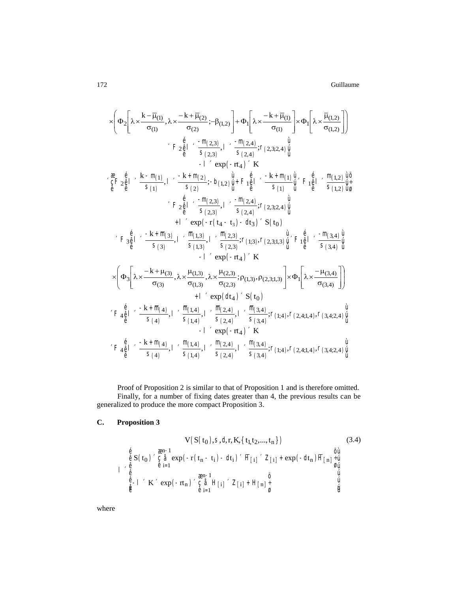Guillaume

$$
\times \left(\Phi_{2}\left[\lambda \times \frac{k-\overline{\mu}_{(1)}}{\sigma_{(1)}},\lambda \times \frac{-k+\overline{\mu}_{(2)}}{\sigma_{(2)}};-\beta_{(1,2)}\right]+\Phi_{1}\left[\lambda \times \frac{-k+\overline{\mu}_{(1)}}{\sigma_{(1)}}\right]\times \Phi_{1}\left[\lambda \times \frac{\overline{\mu}_{(1,2)}}{\sigma_{(1,2)}}\right]\right) \\ \times F_{2}\frac{e}{\theta}\left[\begin{array}{c} -\frac{m_{(2,3)}}{\sigma_{(2,3)}},1-\frac{m_{(2,4)}}{\sigma_{(2,4)}};r_{(2,3;2,4)}\frac{u}{u} \\ -1-\exp(-rt_{4})&K\end{array}\right. \\ \times\frac{e}{\theta}\left[\begin{array}{c}E+\frac{e}{\theta} & \frac{k-m_{(1)}}{\sigma_{(1)}}\end{array}\right],\quad \frac{-k+m_{(2)}}{\sigma_{(2)}};-b_{(1,2)}\frac{u}{u}+F_{1}\frac{e}{\theta}\left[\begin{array}{c} -k+m_{(1)}\frac{u}{u} \\ -k\frac{u}{u} \end{array}\right]F_{1}\frac{e}{\theta}\left[\begin{array}{c} -\frac{m_{(1,2)}}{\sigma_{(1,2)}}\frac{u}{u} \\ -\frac{m_{(2,3)}}{\sigma_{(2,3)}}\end{array}\right]. \\ \times F_{2}\frac{e}{\theta}\left[\begin{array}{c} -\frac{m_{(2,3)}}{\sigma_{(2,3)}}\end{array}\right],\quad \frac{-m_{(2,4)}}{\sigma_{(2,3)}};r_{(2,3;2,4)}\frac{u}{u} \\ +\frac{1-\exp(-r(t_{4}-t_{3})-dt_{3})}{\exp(-r(t_{4}-t_{3})-dt_{3})}&K(t_{0})\end{array}\right]
$$

Proof of Proposition 2 is similar to that of Proposition 1 and is therefore omitted. Finally, for a number of fixing dates greater than 4, the previous results can be generalized to produce the more compact Proposition 3.

#### $\mathbf{C}$ . **Proposition 3**

$$
V(S(t_0), S, d, r, K, \{t_1, t_2, ..., t_n\})
$$
\n
$$
\begin{array}{ll}\n & \text{(3.4)} \\
 & \text{(3.4)} \\
 & \text{(3.5)} \\
 & \text{(3.5)} \\
 & \text{(3.6)} \\
 & \text{(3.7)} \\
 & \text{(3.8)} \\
 & \text{(3.9)} \\
 & \text{(3.9)} \\
 & \text{(3.9)} \\
 & \text{(3.1)} \\
 & \text{(3.1)} \\
 & \text{(3.4)} \\
 & \text{(3.4)} \\
 & \text{(3.5)} \\
 & \text{(3.7)} \\
 & \text{(3.9)} \\
 & \text{(3.9)} \\
 & \text{(3.1)} \\
 & \text{(3.1)} \\
 & \text{(3.4)} \\
 & \text{(3.4)} \\
 & \text{(3.5)} \\
 & \text{(3.6)} \\
 & \text{(3.7)} \\
 & \text{(3.8)} \\
 & \text{(3.9)} \\
 & \text{(3.9)} \\
 & \text{(3.9)} \\
 & \text{(3.1)} \\
 & \text{(3.1)} \\
 & \text{(3.1)} \\
 & \text{(3.2)} \\
 & \text{(3.3)} \\
 & \text{(3.3)} \\
 & \text{(3.4)} \\
 & \text{(3.5)} \\
 & \text{(3.6)} \\
 & \text{(3.7)} \\
 & \text{(3.8)} \\
 & \text{(3.9)} \\
 & \text{(3.9)} \\
 & \text{(3.9)} \\
 & \text{(3.1)} \\
 & \text{(3.1)} \\
 & \text{(3.1)} \\
 & \text{(3.1)} \\
 & \text{(3.2)} \\
 & \text{(3.3)} \\
 & \text{(3.3)} \\
 & \text{(3.4)} \\
 & \text{(3.4)} \\
 & \text{(3.5)} \\
 & \text{(3.5)} \\
 & \text{(3.6)} \\
 & \text{(3.6)} \\
 & \text{(3.7)} \\
 & \text{(3.8)} \\
 & \text{(3.9)} \\
 & \text{(3.9)} \\
 & \text{(3.9)} \\
 & \text{(3.1)} \\
 & \text{(3.1)} \\
 & \text{(3.1)} \\
 & \text{(3.1)} \\
 & \text{(3.2)} \\
 & \text{(3.3)} \\
 & \text{(3.3)} \\
 & \text{(3.4)} \\
 & \text{(3.5)} \\
 & \text{(3.6)} \\
 & \text{(3.7)} \\
 & \text{(3.9)} \\
 & \text{(3.9)} \\
 & \text{(3.1)} \\
 & \text{(3.1)} \\
 & \text{(3.1)} \\
 & \text{(3.2)} \\
 & \text{(3.3)} \\
 & \
$$

where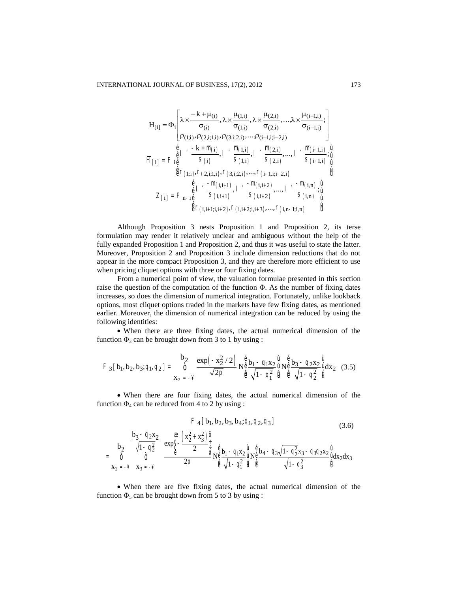$$
H_{[i]} = \Phi_i \left[ \begin{matrix} \lambda \times \frac{-k + \mu_{(i)}}{\sigma_{(i)}}, \lambda \times \frac{\mu_{(1,i)}}{\sigma_{(1,i)}}, \lambda \times \frac{\mu_{(2,i)}}{\sigma_{(2,i)}}, \dots, \lambda \times \frac{\mu_{(i-1,i)}}{\sigma_{(i-1,i)}}; \\ \rho_{(1;i)}, \rho_{(2,i;1,i)}, \rho_{(3,i;2,i)}, \dots, \rho_{(i-1,i;i-2,i)} \\ \vdots \\ \rho_{(1;i)}, \rho_{(2,i;1,i)}, \rho_{(3,i;2,i)}, \dots, \rho_{(i-1,i;i-2,i)} \\ \vdots \\ \rho_{(1;i)} = F_{i\hat{e}} \left[ \begin{array}{cc} -k + \overline{m}_{(i)}, & \overline{m}_{(1,i)}, & \overline{m}_{(2,i)}, \dots, 1 \\ \overline{s}_{(1,i)}, & \overline{s}_{(2,i)}, \dots, 1 \end{array} \right. & \begin{array}{c} \overline{m}_{(i-1,i)}, \underline{u} \\ \overline{s}_{(i-1,i)}, \underline{u} \\ \overline{u} \\ \overline{u} \end{array} \\ \begin{array}{c} \underline{\overline{u}} \\ \underline{\overline{v}} \\ \underline{\overline{v}} \\ \underline{\overline{v}} \\ \underline{\overline{v}} \\ \underline{\overline{v}} \\ \underline{\overline{v}} \\ \underline{\overline{v}} \\ \underline{\overline{v}} \\ \underline{\overline{v}} \\ \underline{\overline{v}} \\ \underline{\overline{v}} \\ \underline{\overline{v}} \\ \underline{\overline{v}} \\ \underline{\overline{v}} \\ \underline{\overline{v}} \\ \underline{\overline{v}} \\ \underline{\overline{v}} \\ \underline{\overline{v}} \\ \underline{\overline{v}} \\ \underline{\overline{v}} \\ \underline{\overline{v}} \\ \underline{\overline{v}} \\ \underline{\overline{v}} \\ \underline{\overline{v}} \\ \underline{\overline{v}} \\ \underline{\overline{v}} \\ \underline{\overline{v}} \\ \underline{\overline{v}} \\ \underline{\overline{v}} \\ \underline{\overline{v}} \\ \underline{\overline{v}} \\ \underline{\overline{v}} \\ \underline{\overline{v}} \\ \underline{\overline{v}} \\ \underline{\overline{v}} \\ \underline{\overline{v}} \\ \underline{\overline{v}} \\ \underline{\overline{v}} \\ \underline{\overline{v}} \\ \underline{\overline{v}} \\ \underline{\overline{v}} \\ \underline{\overline{
$$

Although Proposition 3 nests Proposition 1 and Proposition 2, its terse formulation may render it relatively unclear and ambiguous without the help of the fully expanded Proposition 1 and Proposition 2, and thus it was useful to state the latter. Moreover, Proposition 2 and Proposition 3 include dimension reductions that do not appear in the more compact Proposition 3, and they are therefore more efficient to use when pricing cliquet options with three or four fixing dates.

From a numerical point of view, the valuation formulae presented in this section raise the question of the computation of the function  $\Phi$ . As the number of fixing dates increases, so does the dimension of numerical integration. Fortunately, unlike lookback options, most cliquet options traded in the markets have few fixing dates, as mentioned earlier. Moreover, the dimension of numerical integration can be reduced by using the following identities:

 When there are three fixing dates, the actual numerical dimension of the function  $\Phi_3$  can be brought down from 3 to 1 by using :

$$
F_3 [b_1, b_2, b_3; q_1, q_2] = \int_{x_2}^{x_2} \frac{\exp(-x_2^2/2)}{\sqrt{2p}} N_{\hat{\theta}}^{\hat{\theta}} \frac{b_1 - q_1 x_2}{\sqrt{1 - q_1^2}} \hat{u} N_{\hat{\theta}}^{\hat{\theta}} \frac{b_3 - q_2 x_2}{\sqrt{1 - q_2^2}} \hat{u} \frac{d x_2}{\sqrt{1 - q_2^2}} \tag{3.5}
$$

 When there are four fixing dates, the actual numerical dimension of the function  $\Phi_4$  can be reduced from 4 to 2 by using :

$$
F_4 [b_1, b_2, b_3, b_4; q_1, q_2, q_3]
$$
\n
$$
b_2 \frac{b_3 - q_2 x_2}{\sqrt{1 - q_2^2}} \frac{e}{\xi} \frac{\left(x_2^2 + x_3^2\right)\frac{a}{\xi}}{2 \frac{a}{\xi} \frac{b_1 - q_1 x_2}{\frac{a}{\xi}} \frac{a}{\xi} \frac{b_1 - q_1 x_2 \frac{a}{\xi}}{1 - q_1^2 \frac{a}{\xi}} \frac{b_4 - q_3 \sqrt{1 - q_2^2 x_3} - q_3 q_2 x_2 \frac{a}{\xi} \frac{a}{\xi}}{1 - q_3^2 \frac{a}{\xi}}]
$$
\n(3.6)\n
$$
x_2 = -\frac{y}{\xi} \frac{b_3 - q_2 x_2}{x_3 - x_3} \frac{a}{\xi} \frac{\left(x_2^2 + x_3^2\right)\frac{a}{\xi}}{\xi} \frac{b_1 - q_1 x_2 \frac{a}{\xi}}{\xi} \frac{b_2 \frac{a}{\xi}}{\xi} \frac{b_3 - q_3 \sqrt{1 - q_2^2 x_3} - q_3 q_2 x_2 \frac{a}{\xi}}{\xi} \frac{a}{\xi}
$$

 When there are five fixing dates, the actual numerical dimension of the function  $\Phi_5$  can be brought down from 5 to 3 by using :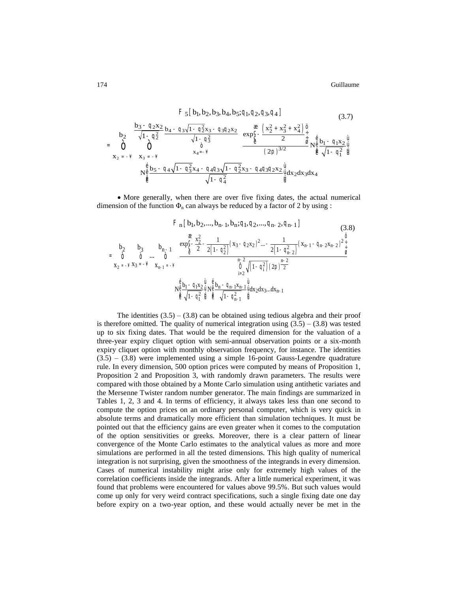Guillaume

$$
F_{5}[b_{1}, b_{2}, b_{3}, b_{4}, b_{5}; q_{1}, q_{2}, q_{3}, q_{4}] \qquad (3.7)
$$
\n
$$
b_{2} \frac{b_{3} - q_{2}x_{2}}{\sqrt{1 - q_{2}^{2}}} b_{4} - q_{3}\sqrt{1 - q_{3}^{2}x_{3}} - q_{3}q_{2}x_{2}}{\sqrt{1 - q_{3}^{2}}} \frac{\alpha}{\sqrt{1 - q_{3}^{2}}} \frac{\left(x_{2}^{2} + x_{3}^{2} + x_{4}^{2}\right)\frac{\ddot{\varphi}}{\dot{\varphi}}}{\left(2\pi\right)^{3/2}}}{\left(2\pi\right)^{3/2}} \frac{\alpha}{\dot{\varphi}} \frac{\left(x_{2}^{2} + x_{3}^{2} + x_{4}^{2}\right)\frac{\ddot{\varphi}}{\dot{\varphi}}}{\left(2\pi\right)^{3/2}}}{\left(2\pi\right)^{3/2}} \frac{\alpha}{\dot{\varphi}} \frac{\dot{\varphi}}{\dot{\varphi}} \frac{b_{1} - q_{1}x_{2}\dot{\varphi}}{\sqrt{1 - q_{1}^{2}}\dot{\varphi}}}{\left(2\pi\right)^{3/2}} \frac{\dot{\varphi}}{\dot{\varphi}} \frac{b_{1} - q_{1}x_{2}\dot{\varphi}}{\sqrt{1 - q_{1}^{2}}\dot{\varphi}} \frac{\dot{\varphi}}{\dot{\varphi}} \frac{b_{2} - q_{4}\sqrt{1 - q_{3}^{2}x_{4} - q_{4}q_{3}\sqrt{1 - q_{2}^{2}}x_{3} - q_{4}q_{3}q_{2}x_{2}\dot{\varphi}}}{\sqrt{1 - q_{4}^{2}}\dot{\varphi}} \frac{\dot{\varphi}}{\dot{\varphi}} \frac{b_{3}x_{2}\dot{\varphi}}{\dot{\varphi}} \frac{\dot{\varphi}}{\dot{\varphi}}}{\left(2\pi\right)^{3/2}} \frac{\alpha}{\dot{\varphi}} \frac{\alpha}{\dot{\varphi}} \frac{\dot{\varphi}}{\dot{\varphi}}}{\left(2\pi\right)^{3/2}} \frac{\alpha}{\dot{\varphi}} \frac{\alpha}{\dot{\varphi}} \frac{\dot{\varphi}}{\dot{\varphi}} \frac{b_{1} - q_{1}x_{2}\dot{\varphi}}{\dot{\varphi}} \frac{\dot{\varphi}}{\dot{\varphi}}}{\sqrt{1 - q_{1}^{2}}\dot{\
$$

• More generally, when there are over five fixing dates, the actual numerical dimension of the function  $\Phi_n$  can always be reduced by a factor of 2 by using :

$$
F_{n}[b_{1}, b_{2},..., b_{n-1}, b_{n}; q_{1}, q_{2},..., q_{n-2}, q_{n-1}]
$$
\n
$$
= \int_{0}^{\frac{\pi}{2}} b_{2} \int_{0}^{1} \frac{1}{\sqrt{1-q_{1}^{2}} \int_{0}^{\frac{\pi}{2}} \frac{x_{2}^{2}}{2} - \frac{1}{2(1-q_{2}^{2})} (x_{3} - q_{2}x_{2})^{2} ... - \frac{1}{2(1-q_{n-2}^{2})} (x_{n-1} - q_{n-2}x_{n-2})^{2} \frac{1}{\frac{1}{2}}}
$$
\n
$$
= \int_{0}^{\frac{\pi}{2}} b_{1} \int_{0}^{1} \frac{1}{\sqrt{1-q_{1}^{2}} \int_{0}^{\frac{\pi}{2}} \frac{1}{\sqrt{1-q_{1}^{2}}} \int_{0}^{\frac{\pi}{2}} \frac{1}{\sqrt{1-q_{1}^{2}}} \int_{0}^{\frac{\pi}{2}} \frac{1}{\sqrt{1-q_{1}^{2}}} \int_{0}^{\frac{\pi}{2}} \frac{1}{\sqrt{1-q_{1}^{2}}} \int_{0}^{\frac{\pi}{2}} \frac{1}{\sqrt{1-q_{1}^{2}}} \int_{0}^{\frac{\pi}{2}} \frac{1}{\sqrt{1-q_{1}^{2}}} \int_{0}^{\frac{\pi}{2}} \frac{1}{\sqrt{1-q_{1}^{2}}} \int_{0}^{\frac{\pi}{2}} \frac{1}{\sqrt{1-q_{1}^{2}}} \int_{0}^{\frac{\pi}{2}} \frac{1}{\sqrt{1-q_{1}^{2}}} \int_{0}^{\frac{\pi}{2}} \frac{1}{\sqrt{1-q_{1}^{2}}} \int_{0}^{\frac{\pi}{2}} \frac{1}{\sqrt{1-q_{1}^{2}}} \int_{0}^{\frac{\pi}{2}} \frac{1}{\sqrt{1-q_{1}^{2}}} \int_{0}^{\frac{\pi}{2}} \frac{1}{\sqrt{1-q_{1}^{2}}} \int_{0}^{\frac{\pi}{2}} \frac{1}{\sqrt{1-q_{1}^{2}}} \int_{0}^{\frac{\pi}{2}} \frac{1}{\sqrt{1-q_{1}^{2}}} \int_{0}^{\frac{\pi}{2}} \frac{1}{\sqrt{1-q_{1}^{2}}} \int_{0}^{\frac{\pi}{2}} \frac{1}{\sqrt{1-q_{1}^{2}}} \int_{0
$$

The identities  $(3.5) - (3.8)$  can be obtained using tedious algebra and their proof is therefore omitted. The quality of numerical integration using  $(3.5) - (3.8)$  was tested up to six fixing dates. That would be the required dimension for the valuation of a three-year expiry cliquet option with semi-annual observation points or a six-month expiry cliquet option with monthly observation frequency, for instance. The identities  $(3.5) - (3.8)$  were implemented using a simple 16-point Gauss-Legendre quadrature rule. In every dimension, 500 option prices were computed by means of Proposition 1, Proposition 2 and Proposition 3, with randomly drawn parameters. The results were compared with those obtained by a Monte Carlo simulation using antithetic variates and the Mersenne Twister random number generator. The main findings are summarized in Tables 1, 2, 3 and 4. In terms of efficiency, it always takes less than one second to compute the option prices on an ordinary personal computer, which is very quick in absolute terms and dramatically more efficient than simulation techniques. It must be pointed out that the efficiency gains are even greater when it comes to the computation of the option sensitivities or greeks. Moreover, there is a clear pattern of linear convergence of the Monte Carlo estimates to the analytical values as more and more simulations are performed in all the tested dimensions. This high quality of numerical integration is not surprising, given the smoothness of the integrands in every dimension. Cases of numerical instability might arise only for extremely high values of the correlation coefficients inside the integrands. After a little numerical experiment, it was found that problems were encountered for values above 99.5%. But such values would come up only for very weird contract specifications, such a single fixing date one day before expiry on a two-year option, and these would actually never be met in the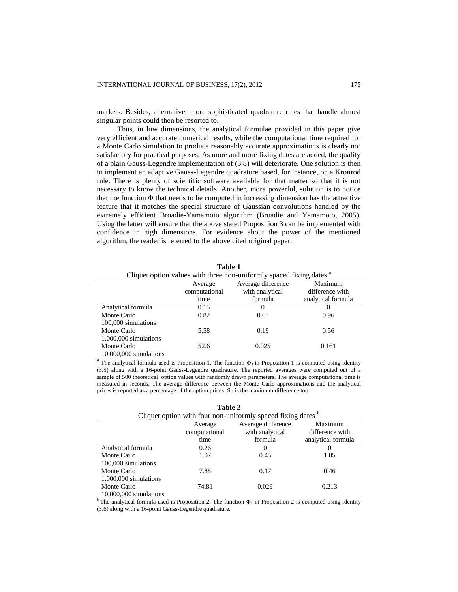markets. Besides, alternative, more sophisticated quadrature rules that handle almost singular points could then be resorted to.

Thus, in low dimensions, the analytical formulae provided in this paper give very efficient and accurate numerical results, while the computational time required for a Monte Carlo simulation to produce reasonably accurate approximations is clearly not satisfactory for practical purposes. As more and more fixing dates are added, the quality of a plain Gauss-Legendre implementation of (3.8) will deteriorate. One solution is then to implement an adaptive Gauss-Legendre quadrature based, for instance, on a Kronrod rule. There is plenty of scientific software available for that matter so that it is not necessary to know the technical details. Another, more powerful, solution is to notice that the function Φ that needs to be computed in increasing dimension has the attractive feature that it matches the special structure of Gaussian convolutions handled by the extremely efficient Broadie-Yamamoto algorithm (Broadie and Yamamoto, 2005). Using the latter will ensure that the above stated Proposition 3 can be implemented with confidence in high dimensions. For evidence about the power of the mentioned algorithm, the reader is referred to the above cited original paper.

|                                                                                 | танг т        |                    |                    |
|---------------------------------------------------------------------------------|---------------|--------------------|--------------------|
| Cliquet option values with three non-uniformly spaced fixing dates <sup>a</sup> |               |                    |                    |
|                                                                                 | Average       | Average difference | Maximum            |
|                                                                                 | computational | with analytical    | difference with    |
|                                                                                 | time          | formula            | analytical formula |
| Analytical formula                                                              | 0.15          |                    | $\theta$           |
| Monte Carlo                                                                     | 0.82          | 0.63               | 0.96               |
| 100,000 simulations                                                             |               |                    |                    |
| Monte Carlo                                                                     | 5.58          | 0.19               | 0.56               |
| 1,000,000 simulations                                                           |               |                    |                    |
| Monte Carlo                                                                     | 52.6          | 0.025              | 0.161              |
| $10,000,000$ simulations                                                        |               |                    |                    |

**Table 1**

<sup>a</sup> The analytical formula used is Proposition 1. The function  $\Phi_3$  in Proposition 1 is computed using identity (3.5) along with a 16-point Gauss-Legendre quadrature. The reported averages were computed out of a sample of 500 theoretical option values with randomly drawn parameters. The average computational time is measured in seconds. The average difference between the Monte Carlo approximations and the analytical prices is reported as a percentage of the option prices. So is the maximum difference too.

| Cliquet option with four non-uniformly spaced fixing dates b |               |                    |                    |
|--------------------------------------------------------------|---------------|--------------------|--------------------|
|                                                              | Average       | Average difference | Maximum            |
|                                                              | computational | with analytical    | difference with    |
|                                                              | time          | formula            | analytical formula |
| Analytical formula                                           | 0.26          | 0                  | $\theta$           |
| Monte Carlo                                                  | 1.07          | 0.45               | 1.05               |
| 100,000 simulations                                          |               |                    |                    |
| Monte Carlo                                                  | 7.88          | 0.17               | 0.46               |
| $1,000,000$ simulations                                      |               |                    |                    |
| Monte Carlo                                                  | 74.81         | 0.029              | 0.213              |
| $10,000,000$ simulations                                     |               |                    |                    |

| Table 2 |  |
|---------|--|
|---------|--|

<sup>b</sup> The analytical formula used is Proposition 2. The function  $\Phi_4$  in Proposition 2 is computed using identity (3.6) along with a 16-point Gauss-Legendre quadrature.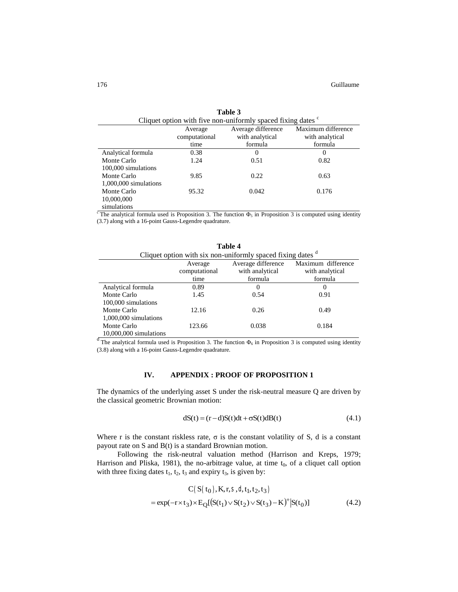| Cliquet option with five non-uniformly spaced fixing dates $\sim$ |               |                    |                    |
|-------------------------------------------------------------------|---------------|--------------------|--------------------|
|                                                                   | Average       | Average difference | Maximum difference |
|                                                                   | computational | with analytical    | with analytical    |
|                                                                   | time          | formula            | formula            |
| Analytical formula                                                | 0.38          |                    | $\theta$           |
| Monte Carlo                                                       | 1.24          | 0.51               | 0.82               |
| 100,000 simulations                                               |               |                    |                    |
| Monte Carlo                                                       | 9.85          | 0.22               | 0.63               |
| 1,000,000 simulations                                             |               |                    |                    |
| Monte Carlo                                                       | 95.32         | 0.042              | 0.176              |
| 10,000,000                                                        |               |                    |                    |
| simulations                                                       |               |                    |                    |

**Table 3** Cliquet option with five non-uniformly spaced fixing dates  $\degree$ 

<sup>c</sup> The analytical formula used is Proposition 3. The function  $\Phi_5$  in Proposition 3 is computed using identity (3.7) along with a 16-point Gauss-Legendre quadrature.

| Table 4                                                            |               |                    |                    |
|--------------------------------------------------------------------|---------------|--------------------|--------------------|
| Cliquet option with six non-uniformly spaced fixing dates $\alpha$ |               |                    |                    |
|                                                                    | Average       | Average difference | Maximum difference |
|                                                                    | computational | with analytical    | with analytical    |
|                                                                    | time          | formula            | formula            |
| Analytical formula                                                 | 0.89          | $\theta$           | $\theta$           |
| Monte Carlo                                                        | 1.45          | 0.54               | 0.91               |
| 100,000 simulations                                                |               |                    |                    |
| Monte Carlo                                                        | 12.16         | 0.26               | 0.49               |
| $1,000,000$ simulations                                            |               |                    |                    |
| Monte Carlo                                                        | 123.66        | 0.038              | 0.184              |
| $10,000,000$ simulations                                           |               |                    |                    |

<sup>d</sup> The analytical formula used is Proposition 3. The function  $\Phi_6$  in Proposition 3 is computed using identity (3.8) along with a 16-point Gauss-Legendre quadrature.

# **IV. APPENDIX : PROOF OF PROPOSITION 1**

The dynamics of the underlying asset S under the risk-neutral measure Q are driven by the classical geometric Brownian motion:

$$
dS(t) = (r - d)S(t)dt + \sigma S(t)dB(t)
$$
\n(4.1)

Where r is the constant riskless rate,  $\sigma$  is the constant volatility of S, d is a constant payout rate on S and B(t) is a standard Brownian motion.

Following the risk-neutral valuation method (Harrison and Kreps, 1979; Harrison and Pliska, 1981), the no-arbitrage value, at time  $t_0$ , of a cliquet call option with three fixing dates  $t_1$ ,  $t_2$ ,  $t_3$  and expiry  $t_3$ , is given by:

$$
C(S(t_0), K, r, S, d, t_1, t_2, t_3)
$$
  
= exp(-r×t<sub>3</sub>)×E<sub>Q</sub>[(S(t<sub>1</sub>)×S(t<sub>2</sub>)×S(t<sub>3</sub>)-K)<sup>+</sup>|S(t<sub>0</sub>)] (4.2)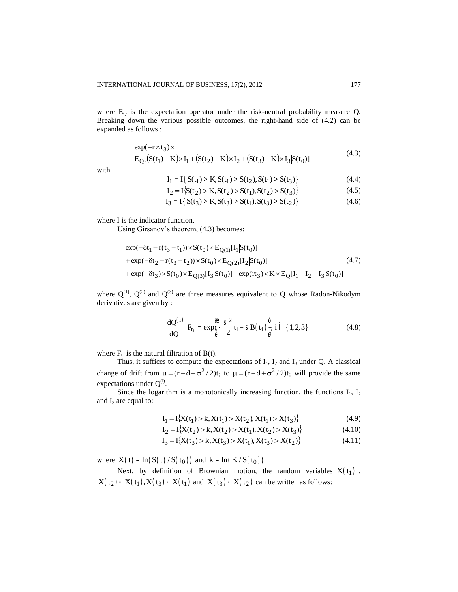where  $E_Q$  is the expectation operator under the risk-neutral probability measure Q. Breaking down the various possible outcomes, the right-hand side of (4.2) can be expanded as follows :

$$
\exp(-r \times t_3) \times
$$
  
\n
$$
E_Q[(S(t_1) - K) \times I_1 + (S(t_2) - K) \times I_2 + (S(t_3) - K) \times I_3]S(t_0)]
$$
\n(4.3)

with

$$
I_1 = I\{S(t_1) > K, S(t_1) > S(t_2), S(t_1) > S(t_3)\}\tag{4.4}
$$

$$
I_2 = I\{S(t_2) > K, S(t_2) > S(t_1), S(t_2) > S(t_3)\}\tag{4.5}
$$

$$
I_3 = I\{S(t_3) > K, S(t_3) > S(t_1), S(t_3) > S(t_2)\}\tag{4.6}
$$

where I is the indicator function.

Using Girsanov's theorem, (4.3) becomes:

$$
\exp(-\delta t_1 - r(t_3 - t_1)) \times S(t_0) \times E_{Q(1)}[I_1]S(t_0)]
$$
  
+ 
$$
\exp(-\delta t_2 - r(t_3 - t_2)) \times S(t_0) \times E_{Q(2)}[I_2]S(t_0)]
$$
  
+ 
$$
\exp(-\delta t_3) \times S(t_0) \times E_{Q(3)}[I_3]S(t_0)] - \exp(\pi_3) \times K \times E_Q[I_1 + I_2 + I_3]S(t_0)]
$$
 (4.7)

where  $Q^{(1)}$ ,  $Q^{(2)}$  and  $Q^{(3)}$  are three measures equivalent to Q whose Radon-Nikodym derivatives are given by :

$$
\frac{dQ^{(i)}}{dQ}|F_{t_i} = \exp_{\hat{\theta}}^{\alpha} - \frac{S^2}{2}t_i + SB(t_i)\frac{\hat{\theta}}{\hat{y}}, i\hat{\theta} \quad \{1, 2, 3\}
$$
(4.8)

where  $F_t$  is the natural filtration of B(t).

Thus, it suffices to compute the expectations of  $I_1$ ,  $I_2$  and  $I_3$  under Q. A classical change of drift from  $\mu = (r - d - \sigma^2 / 2)t_i$  to  $\mu = (r - d + \sigma^2 / 2)t_i$  will provide the same expectations under  $Q^{(i)}$ .

Since the logarithm is a monotonically increasing function, the functions  $I_1$ ,  $I_2$ and  $I_3$  are equal to:

$$
I_1 = I\{X(t_1) > k, X(t_1) > X(t_2), X(t_1) > X(t_3)\}\tag{4.9}
$$

$$
I_2 = I\{X(t_2) > k, X(t_2) > X(t_1), X(t_2) > X(t_3)\}\tag{4.10}
$$

$$
I_3 = I{X(t_3) > k, X(t_3) > X(t_1), X(t_3) > X(t_2)}
$$
\n(4.11)

where  $X(t) = \ln(S(t)/S(t_0))$  and  $k = \ln(K/S(t_0))$ 

Next, by definition of Brownian motion, the random variables  $X(t_1)$ ,  $X(t_2) - X(t_1), X(t_3) - X(t_1)$  and  $X(t_3) - X(t_2)$  can be written as follows: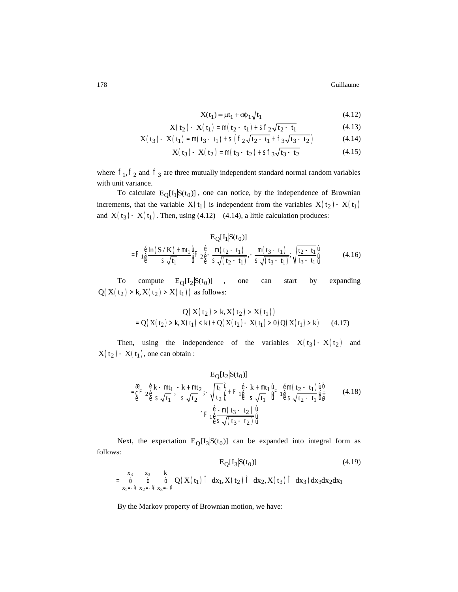Guillaume

$$
X(t_1) = \mu t_1 + \sigma \phi_1 \sqrt{t_1} \tag{4.12}
$$

$$
X(t_2) - X(t_1) = m(t_2 - t_1) + Sf_2\sqrt{t_2 - t_1}
$$
 (4.13)

$$
X(t_3) - X(t_1) = m(t_3 - t_1) + S(f_2\sqrt{t_2 - t_1} + f_3\sqrt{t_3 - t_2})
$$
 (4.14)

$$
X(t_3) - X(t_2) = m(t_3 - t_2) + Sf_3 \sqrt{t_3 - t_2}
$$
 (4.15)

where  $f_1, f_2$  and  $f_3$  are three mutually independent standard normal random variables with unit variance.

To calculate  $E_O[I_1|S(t_0)]$ , one can notice, by the independence of Brownian increments, that the variable  $X(t_1)$  is independent from the variables  $X(t_2) - X(t_1)$ and  $X(t_3) - X(t_1)$ . Then, using (4.12) – (4.14), a little calculation produces:

$$
E_{Q}[I_{1}|S(t_{0})]
$$
  
= $F_{1 \hat{\theta}} \frac{\hat{e} \ln(S/K) + m t_{1} \hat{u}}{s \sqrt{t_{1}}} F_{2 \hat{\theta}} \frac{\hat{e}}{s} - \frac{m(t_{2} - t_{1})}{s \sqrt{(t_{2} - t_{1})}}, -\frac{m(t_{3} - t_{1})}{s \sqrt{(t_{3} - t_{1})}}; \sqrt{\frac{t_{2} - t_{1}}{t_{3} - t_{1}} \hat{u}}$ (4.16)

To compute  $E_Q[I_2|S(t_0)]$  , one  $by$ expanding can start  $Q(X(t_2) > k, X(t_2) > X(t_1))$  as follows:

$$
Q(X(t_2) > k, X(t_2) > X(t_1))
$$
  
= Q(X(t\_2) > k, X(t\_1) < k) + Q(X(t\_2) - X(t\_1) > 0)Q(X(t\_1) > k) (4.17)

Then, using the independence of the variables  $X(t_3) - X(t_2)$  and  $X(t_2) - X(t_1)$ , one can obtain :

$$
E_{Q}[I_{2}|S(t_{0})]
$$
\n
$$
= \frac{a}{\varepsilon} F_{2} \frac{\dot{e}}{\varepsilon} \frac{k - mt_{1}}{s\sqrt{t_{1}}}, \frac{-k + mt_{2}}{s\sqrt{t_{2}}}; -\sqrt{\frac{t_{1}}{t_{2}}}\frac{\dot{u}}{\dot{u}} + F_{1} \frac{\dot{e}}{\varepsilon} \frac{-k + mt_{1}}{s\sqrt{t_{1}}}\frac{\dot{u}}{\dot{u}}F_{1} \frac{\dot{e}}{\varepsilon} \frac{m(t_{2} - t_{1})}{s\sqrt{t_{2}} - t_{1}}\frac{\dot{u}}{\dot{u}} \frac{m(t_{2} - t_{1})}{s\sqrt{t_{2}} - t_{1}}\frac{\dot{u}}{\dot{u}} \qquad (4.18)
$$
\n
$$
F_{1} \frac{\dot{e}}{\varepsilon} \frac{-m(t_{3} - t_{2})}{s\sqrt{(t_{3} - t_{2})}}\frac{\dot{u}}{\dot{u}}
$$

Next, the expectation  $E_Q[I_3|S(t_0)]$  can be expanded into integral form as follows:

$$
E_{Q}[I_{3}|S(t_{0})]
$$
\n(4.19)  
\n
$$
\begin{array}{ccc}\nx_{3} & x_{3} & k \\
\hat{0} & \hat{0} & \hat{0} & Q(X(t_{1}) \hat{1} dx_{1}, X(t_{2}) \hat{1} dx_{2}, X(t_{3}) \hat{1} dx_{3}) dx_{3} dx_{2} dx_{1} \\
x_{1} = -\frac{y}{2}x_{2} = -\frac{y}{2}x_{3} = -\frac{y}{2}\n\end{array}
$$
\n(4.19)

By the Markov property of Brownian motion, we have: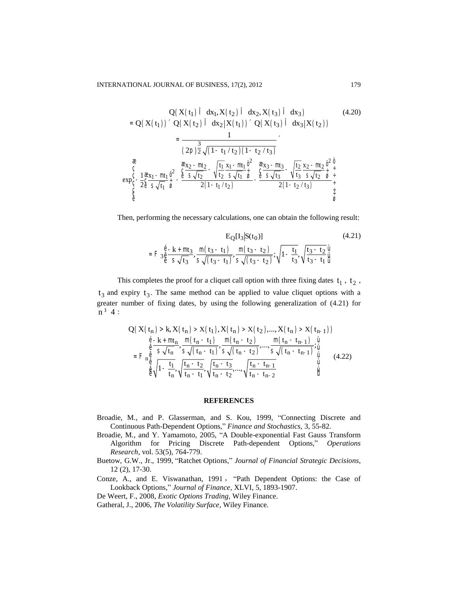$$
Q(X(t_1) \hat{I} dx_1, X(t_2) \hat{I} dx_2, X(t_3) \hat{I} dx_3)
$$
\n
$$
= Q(X(t_1)) ^{\top} Q(X(t_2) \hat{I} dx_2 | X(t_1)) ^{\top} Q(X(t_3) \hat{I} dx_3 | X(t_2))
$$
\n
$$
= \frac{1}{(2p) \frac{3}{2} \sqrt{(1 - t_1 / t_2)(1 - t_2 / t_3)}}
$$
\n
$$
\frac{a}{(2p) \frac{a}{2} \sqrt{(1 - t_1 / t_2)(1 - t_2 / t_3)}}
$$
\n
$$
exp_C^c - \frac{1}{2} \frac{a}{(2p) \frac{a}{2} \sqrt{t_1}} \frac{x_2 - mt_2}{\hat{a}} - \frac{\frac{a}{2} \frac{x_2 - mt_2}{s \sqrt{t_2}}}{2(1 - t_1 / t_2)} - \frac{\frac{a}{2} \frac{x_3 - mt_3}{s \sqrt{t_3}}}{2(1 - t_2 / t_3)} - \frac{\frac{a}{2} \frac{x_2 - mt_2}{s \sqrt{t_2}} \frac{\hat{a}^2}{\hat{a}}}{2(1 - t_2 / t_3)} + \frac{\frac{a}{2} \frac{x_3 - mt_3}{s \sqrt{t_2}}}{\frac{a}{\hat{a}} \sqrt{\frac{s}{s \sqrt{t_2}}}}}{\frac{a}{\hat{a}} \sqrt{\frac{s}{s \sqrt{t_2}}}}
$$
\n(4.20)

Then, performing the necessary calculations, one can obtain the following result:

$$
E_{Q}[I_{3}|S(t_{0})]
$$
\n
$$
=F_{3\frac{\hat{\theta}}{\theta}}\frac{-k+m t_{3}}{s\sqrt{t_{3}}}, \frac{m(t_{3}-t_{1})}{s\sqrt{(t_{3}-t_{1})}}, \frac{m(t_{3}-t_{2})}{s\sqrt{(t_{3}-t_{2})}}; \sqrt{1-\frac{t_{1}}{t_{3}}}, \sqrt{\frac{t_{3}-t_{2}}{t_{3}-t_{1}}}\frac{\hat{u}}{\hat{u}}
$$
\n(4.21)

This completes the proof for a cliquet call option with three fixing dates  $t_1$ ,  $t_2$ ,  $t_3$  and expiry  $t_3$ . The same method can be applied to value cliquet options with a greater number of fixing dates, by using the following generalization of (4.21) for  $n^3 4$ :

$$
Q(X(t_{n}) > k, X(t_{n}) > X(t_{1}), X(t_{n}) > X(t_{2}),..., X(t_{n}) > X(t_{n-1}))
$$
\n
$$
\stackrel{\hat{e}-k + mt_{n}}{\hat{e}} , \stackrel{m}{\leq} \frac{(t_{n} - t_{1})}{s\sqrt{(t_{n} - t_{1})}}, \frac{m(t_{n} - t_{2})}{s\sqrt{(t_{n} - t_{2})}},..., \frac{m(t_{n} - t_{n-1})}{s\sqrt{(t_{n} - t_{n-1})}}; \stackrel{\hat{u}}{\hat{u}}{\hat{u}}
$$
\n
$$
= F_{n}^{\hat{e}} \stackrel{\hat{e}}{\hat{e}} \sqrt{1 - \frac{t_{1}}{t_{n}}}, \sqrt{\frac{t_{n} - t_{2}}{t_{n} - t_{1}}}, \sqrt{\frac{t_{n} - t_{3}}{t_{n} - t_{2}}},..., \sqrt{\frac{t_{n} - t_{n-1}}{t_{n} - t_{n-2}}}, \stackrel{\hat{u}}{\hat{u}}
$$
\n
$$
(4.22)
$$

#### **REFERENCES**

- Broadie, M., and P. Glasserman, and S. Kou, 1999, "Connecting Discrete and Continuous Path-Dependent Options," Finance and Stochastics, 3, 55-82.
- Broadie, M., and Y. Yamamoto, 2005, "A Double-exponential Fast Gauss Transform Algorithm for Pricing Discrete Path-dependent Options," Operations Research, vol. 53(5), 764-779.
- Buetow, G.W., Jr., 1999, "Ratchet Options," Journal of Financial Strategic Decisions,  $12(2), 17-30.$
- Conze, A., and E. Viswanathan, 1991, "Path Dependent Options: the Case of Lookback Options," Journal of Finance, XLVI, 5, 1893-1907.
- De Weert, F., 2008, Exotic Options Trading, Wiley Finance.
- Gatheral, J., 2006, The Volatility Surface, Wiley Finance.